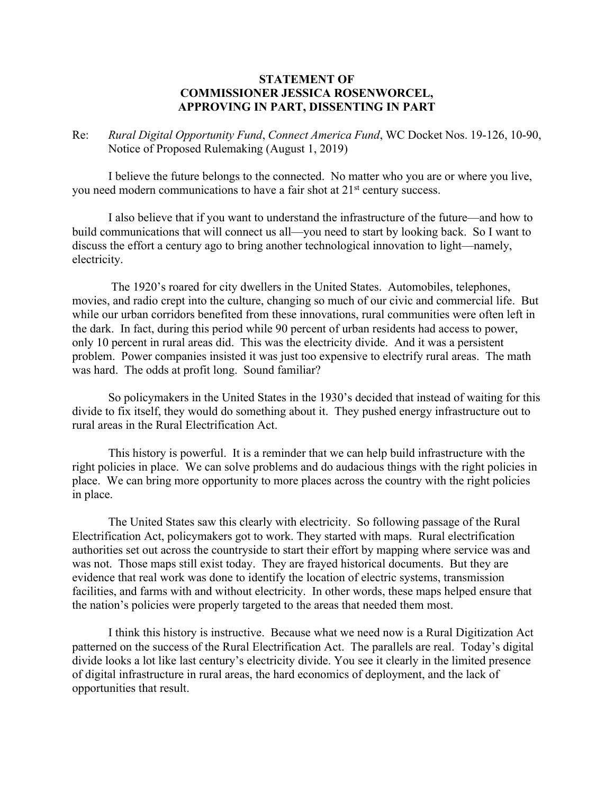## **STATEMENT OF COMMISSIONER JESSICA ROSENWORCEL, APPROVING IN PART, DISSENTING IN PART**

Re: *Rural Digital Opportunity Fund*, *Connect America Fund*, WC Docket Nos. 19-126, 10-90, Notice of Proposed Rulemaking (August 1, 2019)

I believe the future belongs to the connected. No matter who you are or where you live, you need modern communications to have a fair shot at 21st century success.

I also believe that if you want to understand the infrastructure of the future—and how to build communications that will connect us all—you need to start by looking back. So I want to discuss the effort a century ago to bring another technological innovation to light—namely, electricity.

 The 1920's roared for city dwellers in the United States. Automobiles, telephones, movies, and radio crept into the culture, changing so much of our civic and commercial life. But while our urban corridors benefited from these innovations, rural communities were often left in the dark. In fact, during this period while 90 percent of urban residents had access to power, only 10 percent in rural areas did. This was the electricity divide. And it was a persistent problem. Power companies insisted it was just too expensive to electrify rural areas. The math was hard. The odds at profit long. Sound familiar?

So policymakers in the United States in the 1930's decided that instead of waiting for this divide to fix itself, they would do something about it. They pushed energy infrastructure out to rural areas in the Rural Electrification Act.

This history is powerful. It is a reminder that we can help build infrastructure with the right policies in place. We can solve problems and do audacious things with the right policies in place. We can bring more opportunity to more places across the country with the right policies in place.

The United States saw this clearly with electricity. So following passage of the Rural Electrification Act, policymakers got to work. They started with maps. Rural electrification authorities set out across the countryside to start their effort by mapping where service was and was not. Those maps still exist today. They are frayed historical documents. But they are evidence that real work was done to identify the location of electric systems, transmission facilities, and farms with and without electricity. In other words, these maps helped ensure that the nation's policies were properly targeted to the areas that needed them most.

I think this history is instructive. Because what we need now is a Rural Digitization Act patterned on the success of the Rural Electrification Act. The parallels are real. Today's digital divide looks a lot like last century's electricity divide. You see it clearly in the limited presence of digital infrastructure in rural areas, the hard economics of deployment, and the lack of opportunities that result.